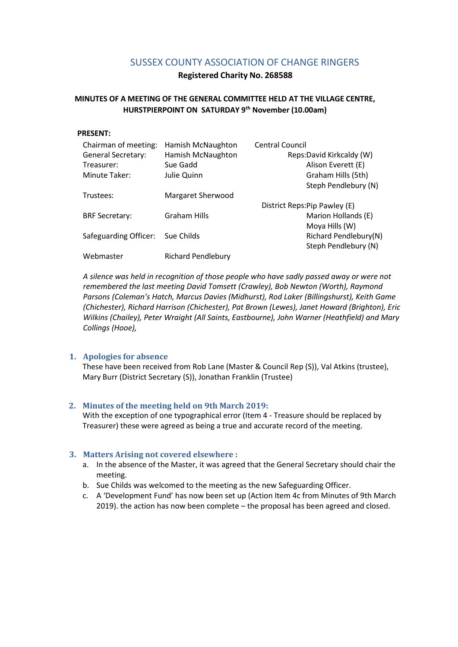# SUSSEX COUNTY ASSOCIATION OF CHANGE RINGERS

**Registered Charity No. 268588**

# **MINUTES OF A MEETING OF THE GENERAL COMMITTEE HELD AT THE VILLAGE CENTRE, HURSTPIERPOINT ON SATURDAY 9 th November (10.00am)**

#### **PRESENT:**

| Chairman of meeting:      | Hamish McNaughton         | <b>Central Council</b>       |
|---------------------------|---------------------------|------------------------------|
| <b>General Secretary:</b> | Hamish McNaughton         | Reps:David Kirkcaldy (W)     |
| Treasurer:                | Sue Gadd                  | Alison Everett (E)           |
| Minute Taker:             | Julie Quinn               | Graham Hills (5th)           |
|                           |                           | Steph Pendlebury (N)         |
| Trustees:                 | Margaret Sherwood         |                              |
|                           |                           | District Reps:Pip Pawley (E) |
| <b>BRF Secretary:</b>     | <b>Graham Hills</b>       | Marion Hollands (E)          |
|                           |                           | Moya Hills (W)               |
| Safeguarding Officer:     | Sue Childs                | Richard Pendlebury(N)        |
|                           |                           | Steph Pendlebury (N)         |
| Webmaster                 | <b>Richard Pendlebury</b> |                              |

*A silence was held in recognition of those people who have sadly passed away or were not remembered the last meeting David Tomsett (Crawley), Bob Newton (Worth), Raymond Parsons (Coleman's Hatch, Marcus Davies (Midhurst), Rod Laker (Billingshurst), Keith Game (Chichester), Richard Harrison (Chichester), Pat Brown (Lewes), Janet Howard (Brighton), Eric Wilkins (Chailey), Peter Wraight (All Saints, Eastbourne), John Warner (Heathfield) and Mary Collings (Hooe),* 

#### **1. Apologies for absence**

These have been received from Rob Lane (Master & Council Rep (S)), Val Atkins (trustee), Mary Burr (District Secretary (S)), Jonathan Franklin (Trustee)

#### **2. Minutes of the meeting held on 9th March 2019:**

With the exception of one typographical error (Item 4 - Treasure should be replaced by Treasurer) these were agreed as being a true and accurate record of the meeting.

#### **3. Matters Arising not covered elsewhere :**

- a. In the absence of the Master, it was agreed that the General Secretary should chair the meeting.
- b. Sue Childs was welcomed to the meeting as the new Safeguarding Officer.
- c. A 'Development Fund' has now been set up (Action Item 4c from Minutes of 9th March 2019). the action has now been complete – the proposal has been agreed and closed.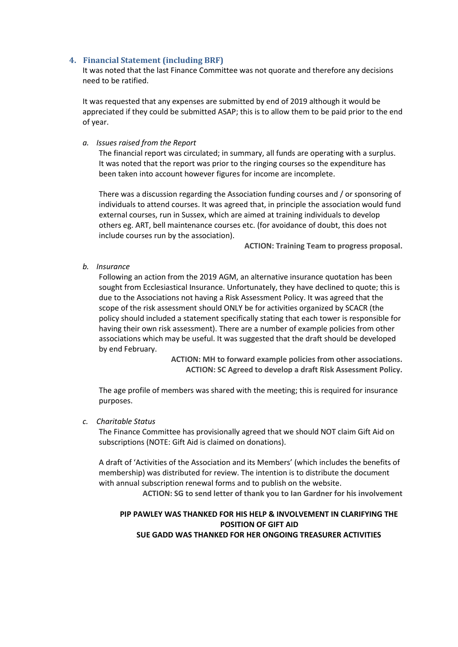#### **4. Financial Statement (including BRF)**

It was noted that the last Finance Committee was not quorate and therefore any decisions need to be ratified.

It was requested that any expenses are submitted by end of 2019 although it would be appreciated if they could be submitted ASAP; this is to allow them to be paid prior to the end of year.

#### *a. Issues raised from the Report*

The financial report was circulated; in summary, all funds are operating with a surplus. It was noted that the report was prior to the ringing courses so the expenditure has been taken into account however figures for income are incomplete.

There was a discussion regarding the Association funding courses and / or sponsoring of individuals to attend courses. It was agreed that, in principle the association would fund external courses, run in Sussex, which are aimed at training individuals to develop others eg. ART, bell maintenance courses etc. (for avoidance of doubt, this does not include courses run by the association).

**ACTION: Training Team to progress proposal.**

*b. Insurance*

Following an action from the 2019 AGM, an alternative insurance quotation has been sought from Ecclesiastical Insurance. Unfortunately, they have declined to quote; this is due to the Associations not having a Risk Assessment Policy. It was agreed that the scope of the risk assessment should ONLY be for activities organized by SCACR (the policy should included a statement specifically stating that each tower is responsible for having their own risk assessment). There are a number of example policies from other associations which may be useful. It was suggested that the draft should be developed by end February.

> **ACTION: MH to forward example policies from other associations. ACTION: SC Agreed to develop a draft Risk Assessment Policy.**

The age profile of members was shared with the meeting; this is required for insurance purposes.

#### *c. Charitable Status*

The Finance Committee has provisionally agreed that we should NOT claim Gift Aid on subscriptions (NOTE: Gift Aid is claimed on donations).

A draft of 'Activities of the Association and its Members' (which includes the benefits of membership) was distributed for review. The intention is to distribute the document with annual subscription renewal forms and to publish on the website.

**ACTION: SG to send letter of thank you to Ian Gardner for his involvement**

# **PIP PAWLEY WAS THANKED FOR HIS HELP & INVOLVEMENT IN CLARIFYING THE POSITION OF GIFT AID**

**SUE GADD WAS THANKED FOR HER ONGOING TREASURER ACTIVITIES**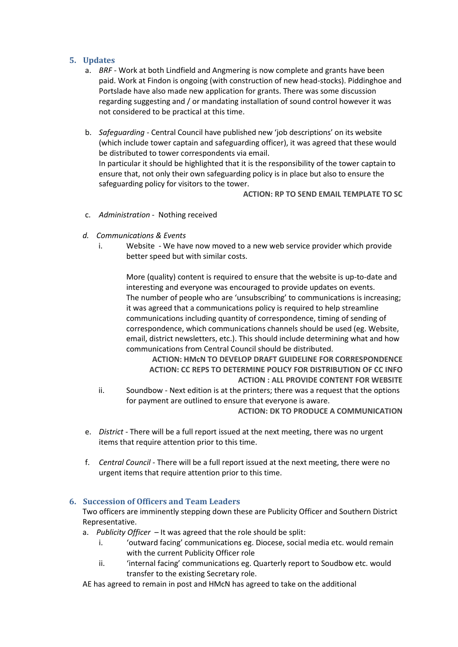## **5. Updates**

- a. *BRF -* Work at both Lindfield and Angmering is now complete and grants have been paid. Work at Findon is ongoing (with construction of new head-stocks). Piddinghoe and Portslade have also made new application for grants. There was some discussion regarding suggesting and / or mandating installation of sound control however it was not considered to be practical at this time.
- b. *Safeguarding -* Central Council have published new 'job descriptions' on its website (which include tower captain and safeguarding officer), it was agreed that these would be distributed to tower correspondents via email. In particular it should be highlighted that it is the responsibility of the tower captain to ensure that, not only their own safeguarding policy is in place but also to ensure the safeguarding policy for visitors to the tower.

**ACTION: RP TO SEND EMAIL TEMPLATE TO SC**

- c. *Administration -* Nothing received
- *d. Communications & Events* 
	- i. Website We have now moved to a new web service provider which provide better speed but with similar costs.

More (quality) content is required to ensure that the website is up-to-date and interesting and everyone was encouraged to provide updates on events. The number of people who are 'unsubscribing' to communications is increasing; it was agreed that a communications policy is required to help streamline communications including quantity of correspondence, timing of sending of correspondence, which communications channels should be used (eg. Website, email, district newsletters, etc.). This should include determining what and how communications from Central Council should be distributed.

**ACTION: HMcN TO DEVELOP DRAFT GUIDELINE FOR CORRESPONDENCE ACTION: CC REPS TO DETERMINE POLICY FOR DISTRIBUTION OF CC INFO ACTION : ALL PROVIDE CONTENT FOR WEBSITE**

- ii. Soundbow Next edition is at the printers; there was a request that the options for payment are outlined to ensure that everyone is aware. **ACTION: DK TO PRODUCE A COMMUNICATION**
- e. *District -* There will be a full report issued at the next meeting, there was no urgent items that require attention prior to this time.
- f. *Central Council -* There will be a full report issued at the next meeting, there were no urgent items that require attention prior to this time.

#### **6. Succession of Officers and Team Leaders**

Two officers are imminently stepping down these are Publicity Officer and Southern District Representative.

- a. *Publicity Officer* It was agreed that the role should be split:
	- i. 'outward facing' communications eg. Diocese, social media etc. would remain with the current Publicity Officer role
	- ii. "internal facing' communications eg. Quarterly report to Soudbow etc. would transfer to the existing Secretary role.

AE has agreed to remain in post and HMcN has agreed to take on the additional